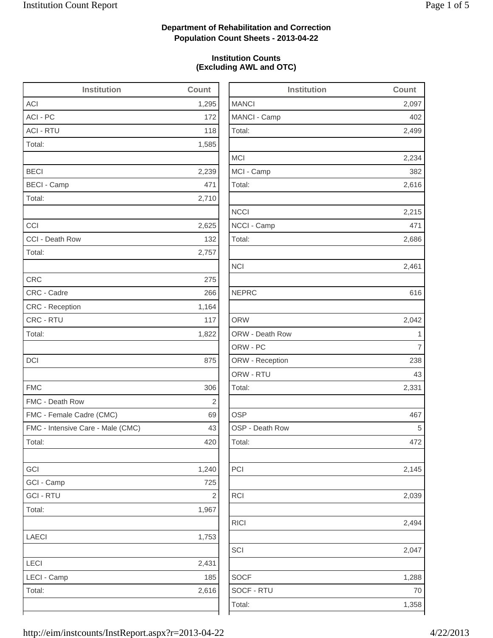2,499

2,234

2,616

2,215

2,686

2,042

2,331

2,145

2,039

2,494

2,047

1,288

1,358

### **Department of Rehabilitation and Correction Population Count Sheets - 2013-04-22**

#### **Institution Counts (Excluding AWL and OTC)**

| <b>Institution</b>                | Count          | Institution     | Count          |
|-----------------------------------|----------------|-----------------|----------------|
| ACI                               | 1,295          | <b>MANCI</b>    | 2,097          |
| ACI - PC                          | 172            | MANCI - Camp    | 402            |
| <b>ACI - RTU</b>                  | 118            | Total:          | 2,499          |
| Total:                            | 1,585          |                 |                |
|                                   |                | <b>MCI</b>      | 2,234          |
| <b>BECI</b>                       | 2,239          | MCI - Camp      | 382            |
| <b>BECI - Camp</b>                | 471            | Total:          | 2,616          |
| Total:                            | 2,710          |                 |                |
|                                   |                | <b>NCCI</b>     | 2,215          |
| CCI                               | 2,625          | NCCI - Camp     | 471            |
| CCI - Death Row                   | 132            | Total:          | 2,686          |
| Total:                            | 2,757          |                 |                |
|                                   |                | <b>NCI</b>      | 2,461          |
| <b>CRC</b>                        | 275            |                 |                |
| CRC - Cadre                       | 266            | <b>NEPRC</b>    | 616            |
| CRC - Reception                   | 1,164          |                 |                |
| CRC - RTU                         | 117            | <b>ORW</b>      | 2,042          |
| Total:                            | 1,822          | ORW - Death Row | $\mathbf 1$    |
|                                   |                | ORW - PC        | $\overline{7}$ |
| DCI                               | 875            | ORW - Reception | 238            |
|                                   |                | ORW - RTU       | 43             |
| <b>FMC</b>                        | 306            | Total:          | 2,331          |
| FMC - Death Row                   | $\overline{2}$ |                 |                |
| FMC - Female Cadre (CMC)          | 69             | <b>OSP</b>      | 467            |
| FMC - Intensive Care - Male (CMC) | 43             | OSP - Death Row | 5              |
| Total:                            | 420            | Total:          | 472            |
| GCI                               | 1,240          | PCI             | 2,145          |
| GCI - Camp                        | 725            |                 |                |
| <b>GCI - RTU</b>                  | $\sqrt{2}$     | <b>RCI</b>      | 2,039          |
| Total:                            | 1,967          |                 |                |
|                                   |                | <b>RICI</b>     | 2,494          |
| LAECI                             | 1,753          |                 |                |
|                                   |                | SCI             | 2,047          |
| LECI                              | 2,431          |                 |                |
| LECI - Camp                       | 185            | <b>SOCF</b>     | 1,288          |
| Total:                            | 2,616          | SOCF - RTU      | 70             |
|                                   |                | Total:          | 1,358          |
|                                   |                |                 |                |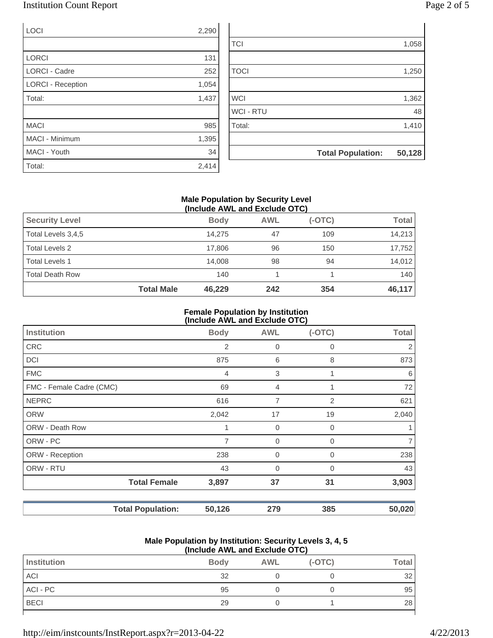### Institution Count Report

| age z | от э |  |
|-------|------|--|
|       |      |  |

| <b>LOCI</b>              | 2,290 |                |                                    |
|--------------------------|-------|----------------|------------------------------------|
|                          |       | <b>TCI</b>     | 1,058                              |
| <b>LORCI</b>             | 131   |                |                                    |
| <b>LORCI - Cadre</b>     | 252   | <b>TOCI</b>    | 1,250                              |
| <b>LORCI - Reception</b> | 1,054 |                |                                    |
| Total:                   | 1,437 | <b>WCI</b>     | 1,362                              |
|                          |       | <b>WCI-RTU</b> | 48                                 |
| <b>MACI</b>              | 985   | Total:         | 1,410                              |
| MACI - Minimum           | 1,395 |                |                                    |
| MACI - Youth             | 34    |                | 50,128<br><b>Total Population:</b> |
| Total:                   | 2,414 |                |                                    |

#### **Male Population by Security Level (Include AWL and Exclude OTC)**

| <b>Security Level</b>  |                   | <b>Body</b> | <b>AWL</b> | $(-OTC)$ | <b>Total</b> |
|------------------------|-------------------|-------------|------------|----------|--------------|
| Total Levels 3,4,5     |                   | 14.275      | 47         | 109      | 14.213       |
| <b>Total Levels 2</b>  |                   | 17.806      | 96         | 150      | 17,752       |
| <b>Total Levels 1</b>  |                   | 14.008      | 98         | 94       | 14,012       |
| <b>Total Death Row</b> |                   | 140         |            |          | 140          |
|                        | <b>Total Male</b> | 46,229      | 242        | 354      | 46,117       |

#### **Female Population by Institution (Include AWL and Exclude OTC)**

|                          |                | $(1101000)$ and the thousand $(0.0000)$ |             |        |
|--------------------------|----------------|-----------------------------------------|-------------|--------|
| <b>Institution</b>       | <b>Body</b>    | <b>AWL</b>                              | $(-OTC)$    | Total  |
| <b>CRC</b>               | $\overline{2}$ | 0                                       | $\Omega$    | 2      |
| <b>DCI</b>               | 875            | 6                                       | 8           | 873    |
| <b>FMC</b>               | 4              | 3                                       |             | 6      |
| FMC - Female Cadre (CMC) | 69             | 4                                       |             | 72     |
| <b>NEPRC</b>             | 616            | 7                                       | 2           | 621    |
| <b>ORW</b>               | 2,042          | 17                                      | 19          | 2,040  |
| ORW - Death Row          | 1              | 0                                       | $\Omega$    |        |
| ORW - PC                 | 7              | 0                                       | $\mathbf 0$ | 7      |
| ORW - Reception          | 238            | 0                                       | 0           | 238    |
| ORW - RTU                | 43             | $\overline{0}$                          | $\Omega$    | 43     |
| <b>Total Female</b>      | 3,897          | 37                                      | 31          | 3,903  |
| <b>Total Population:</b> | 50,126         | 279                                     | 385         | 50,020 |

#### **Male Population by Institution: Security Levels 3, 4, 5 (Include AWL and Exclude OTC)**

| \!!!V!WWV / \\! = u!!W = ^\V!WWV V ! V / |             |            |          |              |
|------------------------------------------|-------------|------------|----------|--------------|
| Institution                              | <b>Body</b> | <b>AWL</b> | $(-OTC)$ | <b>Total</b> |
| <b>ACI</b>                               | 32          |            |          | 32           |
| ACI - PC                                 | 95          |            |          | 95           |
| <b>BECI</b>                              | 29          |            |          | 28           |
|                                          |             |            |          |              |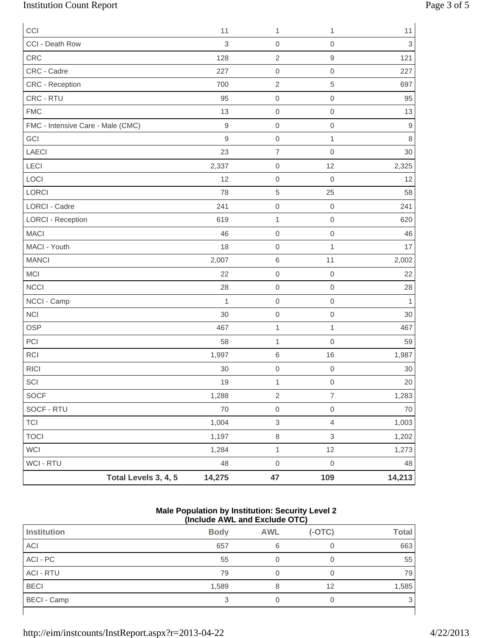# Institution Count Report Page 3 of 5

| CCI                               |                      | 11          | 1                         | 1                   | 11                        |
|-----------------------------------|----------------------|-------------|---------------------------|---------------------|---------------------------|
| CCI - Death Row                   |                      | 3           | $\mathbf 0$               | $\mathsf{O}\xspace$ | $\ensuremath{\mathsf{3}}$ |
| CRC                               |                      | 128         | $\overline{2}$            | $\hbox{9}$          | 121                       |
| CRC - Cadre                       |                      | 227         | $\boldsymbol{0}$          | $\mathbf 0$         | 227                       |
| CRC - Reception                   |                      | 700         | $\sqrt{2}$                | 5                   | 697                       |
| CRC - RTU                         |                      | 95          | $\mathbf 0$               | $\,0\,$             | 95                        |
| <b>FMC</b>                        |                      | 13          | $\mathbf 0$               | $\mathbf 0$         | 13                        |
| FMC - Intensive Care - Male (CMC) |                      | $\mathsf 9$ | $\mathbf 0$               | $\mbox{O}$          | $\mathsf 9$               |
| GCI                               |                      | $\mathsf g$ | $\mathbf 0$               | $\mathbf{1}$        | $\,8\,$                   |
| LAECI                             |                      | 23          | $\overline{7}$            | $\mathbf 0$         | 30                        |
| LECI                              |                      | 2,337       | $\mathbf 0$               | 12                  | 2,325                     |
| LOCI                              |                      | 12          | $\boldsymbol{0}$          | $\mathbf 0$         | 12                        |
| LORCI                             |                      | 78          | $\,$ 5 $\,$               | 25                  | 58                        |
| <b>LORCI - Cadre</b>              |                      | 241         | $\mbox{O}$                | $\boldsymbol{0}$    | 241                       |
| <b>LORCI - Reception</b>          |                      | 619         | $\mathbf{1}$              | $\mathbf 0$         | 620                       |
| <b>MACI</b>                       |                      | 46          | $\boldsymbol{0}$          | $\,0\,$             | 46                        |
| MACI - Youth                      |                      | 18          | $\boldsymbol{0}$          | $\mathbf{1}$        | 17                        |
| <b>MANCI</b>                      |                      | 2,007       | $\,$ 6 $\,$               | 11                  | 2,002                     |
| <b>MCI</b>                        |                      | 22          | $\mathbf 0$               | $\mathbf 0$         | 22                        |
| <b>NCCI</b>                       |                      | 28          | $\mathbf 0$               | $\mathbf 0$         | 28                        |
| NCCI - Camp                       |                      | 1           | $\,0\,$                   | $\mathbf 0$         | $\mathbf{1}$              |
| <b>NCI</b>                        |                      | 30          | $\mathbf 0$               | $\mathbf 0$         | 30                        |
| <b>OSP</b>                        |                      | 467         | $\mathbf 1$               | $\mathbf{1}$        | 467                       |
| PCI                               |                      | 58          | $\mathbf 1$               | $\mathbf 0$         | 59                        |
| <b>RCI</b>                        |                      | 1,997       | $\,6$                     | 16                  | 1,987                     |
| <b>RICI</b>                       |                      | 30          | $\mbox{O}$                | $\mathbf 0$         | $30\,$                    |
| $\ensuremath{\mathsf{SCI}}$       |                      | $19$        | $\mathbf{1}$              | $\mathsf{O}\xspace$ | $20\,$                    |
| SOCF                              |                      | 1,288       | $\sqrt{2}$                | $\overline{7}$      | 1,283                     |
| SOCF - RTU                        |                      | 70          | $\mathsf{O}\xspace$       | $\mathsf{O}\xspace$ | 70                        |
| <b>TCI</b>                        |                      | 1,004       | $\ensuremath{\mathsf{3}}$ | $\overline{4}$      | 1,003                     |
| <b>TOCI</b>                       |                      | 1,197       | $\,8\,$                   | $\mathsf 3$         | 1,202                     |
| WCI                               |                      | 1,284       | $\mathbf{1}$              | 12                  | 1,273                     |
| WCI - RTU                         |                      | 48          | $\,0\,$                   | $\mathbf 0$         | 48                        |
|                                   | Total Levels 3, 4, 5 | 14,275      | 47                        | 109                 | 14,213                    |

#### **Male Population by Institution: Security Level 2 (Include AWL and Exclude OTC)**

|                    |             | \:::v:wwv / \:: = \:::w = /\\:wwv \ . \ / |          |              |
|--------------------|-------------|-------------------------------------------|----------|--------------|
| <b>Institution</b> | <b>Body</b> | <b>AWL</b>                                | $(-OTC)$ | <b>Total</b> |
| ACI                | 657         | 6                                         |          | 663          |
| ACI - PC           | 55          |                                           |          | 55           |
| <b>ACI - RTU</b>   | 79          |                                           |          | 79           |
| <b>BECI</b>        | 1,589       |                                           | 12       | 1,585        |
| BECI - Camp        |             |                                           |          | 3            |
|                    |             |                                           |          |              |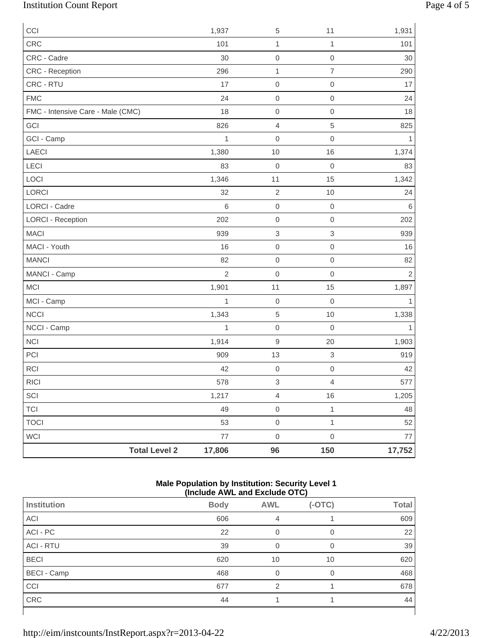# Institution Count Report Page 4 of 5

| CCI                               | 1,937          | $\,$ 5 $\,$               | 11               | 1,931        |
|-----------------------------------|----------------|---------------------------|------------------|--------------|
| CRC                               | 101            | $\mathbf{1}$              | 1                | 101          |
| CRC - Cadre                       | 30             | $\mathbf 0$               | $\mbox{O}$       | 30           |
| CRC - Reception                   | 296            | $\mathbf{1}$              | $\overline{7}$   | 290          |
| CRC - RTU                         | 17             | $\boldsymbol{0}$          | $\mbox{O}$       | 17           |
| <b>FMC</b>                        | 24             | $\mathbf 0$               | $\mathbf 0$      | 24           |
| FMC - Intensive Care - Male (CMC) | 18             | $\boldsymbol{0}$          | $\mathbf 0$      | 18           |
| GCI                               | 826            | $\sqrt{4}$                | 5                | 825          |
| GCI - Camp                        | 1              | $\boldsymbol{0}$          | $\mathbf 0$      | 1            |
| LAECI                             | 1,380          | $10$                      | 16               | 1,374        |
| LECI                              | 83             | $\mathbf 0$               | $\boldsymbol{0}$ | 83           |
| LOCI                              | 1,346          | 11                        | 15               | 1,342        |
| LORCI                             | 32             | $\sqrt{2}$                | 10               | 24           |
| <b>LORCI - Cadre</b>              | $\,6$          | $\boldsymbol{0}$          | $\boldsymbol{0}$ | $\,6$        |
| <b>LORCI - Reception</b>          | 202            | $\mathbf 0$               | $\mathbf 0$      | 202          |
| <b>MACI</b>                       | 939            | $\ensuremath{\mathsf{3}}$ | $\,$ 3 $\,$      | 939          |
| MACI - Youth                      | 16             | $\mbox{O}$                | $\mathbf 0$      | 16           |
| <b>MANCI</b>                      | 82             | $\mathsf{O}\xspace$       | $\mbox{O}$       | 82           |
| MANCI - Camp                      | $\overline{2}$ | $\boldsymbol{0}$          | $\mathbf 0$      | $\mathbf 2$  |
| MCI                               | 1,901          | 11                        | 15               | 1,897        |
| MCI - Camp                        | $\mathbf{1}$   | $\mathbf 0$               | $\mathbf 0$      | $\mathbf{1}$ |
| <b>NCCI</b>                       | 1,343          | $\sqrt{5}$                | 10               | 1,338        |
| NCCI - Camp                       | $\mathbf{1}$   | $\mathsf{O}\xspace$       | $\boldsymbol{0}$ | 1            |
| <b>NCI</b>                        | 1,914          | $\hbox{9}$                | 20               | 1,903        |
| PCI                               | 909            | 13                        | $\mathsf 3$      | 919          |
| <b>RCI</b>                        | 42             | $\mbox{O}$                | $\mathbf 0$      | 42           |
| RICI                              | 578            | $\ensuremath{\mathsf{3}}$ | $\overline{4}$   | 577          |
| SCI                               | 1,217          | $\overline{4}$            | 16               | 1,205        |
| <b>TCI</b>                        | 49             | $\mbox{O}$                | $\mathbf 1$      | 48           |
| <b>TOCI</b>                       | 53             | $\mathsf{O}\xspace$       | $\mathbf{1}$     | 52           |
| WCI                               | $77 \,$        | $\mbox{O}$                | $\mbox{O}$       | $77 \,$      |
| <b>Total Level 2</b>              | 17,806         | 96                        | 150              | 17,752       |

#### **Male Population by Institution: Security Level 1 (Include AWL and Exclude OTC)**

|                    | .<br>.      |            |          |              |
|--------------------|-------------|------------|----------|--------------|
| <b>Institution</b> | <b>Body</b> | <b>AWL</b> | $(-OTC)$ | <b>Total</b> |
| <b>ACI</b>         | 606         | 4          |          | 609          |
| ACI - PC           | 22          | 0          | 0        | 22           |
| <b>ACI - RTU</b>   | 39          | 0          | 0        | 39           |
| <b>BECI</b>        | 620         | 10         | 10       | 620          |
| <b>BECI - Camp</b> | 468         | 0          | 0        | 468          |
| CCI                | 677         | 2          |          | 678          |
| CRC                | 44          |            |          | 44           |
|                    |             |            |          |              |